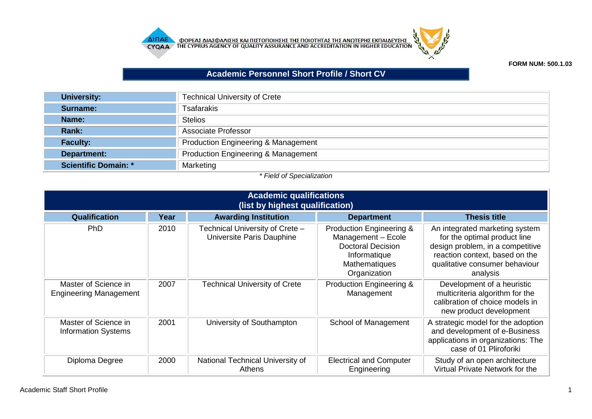



## **FORM NUM: 500.1.03**

## **Academic Personnel Short Profile / Short CV**

| University:          | <b>Technical University of Crete</b>           |
|----------------------|------------------------------------------------|
| Surname:             | <b>Tsafarakis</b>                              |
| Name:                | <b>Stelios</b>                                 |
| Rank:                | Associate Professor                            |
| <b>Faculty:</b>      | <b>Production Engineering &amp; Management</b> |
| Department:          | <b>Production Engineering &amp; Management</b> |
| Scientific Domain: * | Marketing                                      |

## *\* Field of Specialization*

| <b>Academic qualifications</b><br>(list by highest qualification) |      |                                                              |                                                                                                                                        |                                                                                                                                                                                    |  |
|-------------------------------------------------------------------|------|--------------------------------------------------------------|----------------------------------------------------------------------------------------------------------------------------------------|------------------------------------------------------------------------------------------------------------------------------------------------------------------------------------|--|
| Qualification                                                     | Year | <b>Awarding Institution</b>                                  | <b>Department</b>                                                                                                                      | <b>Thesis title</b>                                                                                                                                                                |  |
| PhD.                                                              | 2010 | Technical University of Crete -<br>Universite Paris Dauphine | <b>Production Engineering &amp;</b><br>Management - Ecole<br><b>Doctoral Decision</b><br>Informatique<br>Mathematiques<br>Organization | An integrated marketing system<br>for the optimal product line<br>design problem, in a competitive<br>reaction context, based on the<br>qualitative consumer behaviour<br>analysis |  |
| Master of Science in<br><b>Engineering Management</b>             | 2007 | Technical University of Crete                                | <b>Production Engineering &amp;</b><br>Management                                                                                      | Development of a heuristic<br>multicriteria algorithm for the<br>calibration of choice models in<br>new product development                                                        |  |
| Master of Science in<br><b>Information Systems</b>                | 2001 | University of Southampton                                    | School of Management                                                                                                                   | A strategic model for the adoption<br>and development of e-Business<br>applications in organizations: The<br>case of 01 Pliroforiki                                                |  |
| Diploma Degree                                                    | 2000 | National Technical University of<br>Athens                   | <b>Electrical and Computer</b><br>Engineering                                                                                          | Study of an open architecture<br>Virtual Private Network for the                                                                                                                   |  |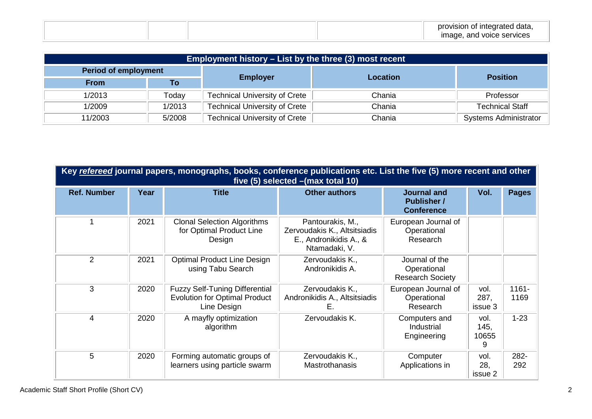|  |  | provision of integrated data,<br>$\overline{\phantom{a}}$ |
|--|--|-----------------------------------------------------------|
|  |  | made, and voice services                                  |

| <b>Employment history – List by the three (3) most recent</b> |        |                                      |                 |                              |  |  |
|---------------------------------------------------------------|--------|--------------------------------------|-----------------|------------------------------|--|--|
| <b>Period of employment</b>                                   |        |                                      | <b>Location</b> |                              |  |  |
| <b>From</b>                                                   | Τo     | <b>Employer</b>                      |                 | <b>Position</b>              |  |  |
| 1/2013                                                        | Todav  | <b>Technical University of Crete</b> | Chania          | Professor                    |  |  |
| 1/2009                                                        | 1/2013 | <b>Technical University of Crete</b> | Chania          | <b>Technical Staff</b>       |  |  |
| 11/2003                                                       | 5/2008 | <b>Technical University of Crete</b> | Chania          | <b>Systems Administrator</b> |  |  |

| Key refereed journal papers, monographs, books, conference publications etc. List the five (5) more recent and other<br>five (5) selected - (max total 10) |      |                                                                                              |                                                                                             |                                                               |                            |                  |
|------------------------------------------------------------------------------------------------------------------------------------------------------------|------|----------------------------------------------------------------------------------------------|---------------------------------------------------------------------------------------------|---------------------------------------------------------------|----------------------------|------------------|
| <b>Ref. Number</b>                                                                                                                                         | Year | <b>Title</b>                                                                                 | <b>Other authors</b>                                                                        | <b>Journal and</b><br><b>Publisher /</b><br><b>Conference</b> | Vol.                       | <b>Pages</b>     |
|                                                                                                                                                            | 2021 | <b>Clonal Selection Algorithms</b><br>for Optimal Product Line<br>Design                     | Pantourakis, M.,<br>Zervoudakis K., Altsitsiadis<br>E., Andronikidis A., &<br>Ntamadaki, V. | European Journal of<br>Operational<br>Research                |                            |                  |
| 2                                                                                                                                                          | 2021 | <b>Optimal Product Line Design</b><br>using Tabu Search                                      | Zervoudakis K.,<br>Andronikidis A.                                                          | Journal of the<br>Operational<br><b>Research Society</b>      |                            |                  |
| 3                                                                                                                                                          | 2020 | <b>Fuzzy Self-Tuning Differential</b><br><b>Evolution for Optimal Product</b><br>Line Design | Zervoudakis K.,<br>Andronikidis A., Altsitsiadis<br>E.                                      | European Journal of<br>Operational<br>Research                | vol.<br>287,<br>issue 3    | $1161 -$<br>1169 |
| 4                                                                                                                                                          | 2020 | A mayfly optimization<br>algorithm                                                           | Zervoudakis K.                                                                              | Computers and<br>Industrial<br>Engineering                    | vol.<br>145,<br>10655<br>9 | $1 - 23$         |
| 5                                                                                                                                                          | 2020 | Forming automatic groups of<br>learners using particle swarm                                 | Zervoudakis K.,<br><b>Mastrothanasis</b>                                                    | Computer<br>Applications in                                   | vol.<br>28,<br>issue 2     | 282-<br>292      |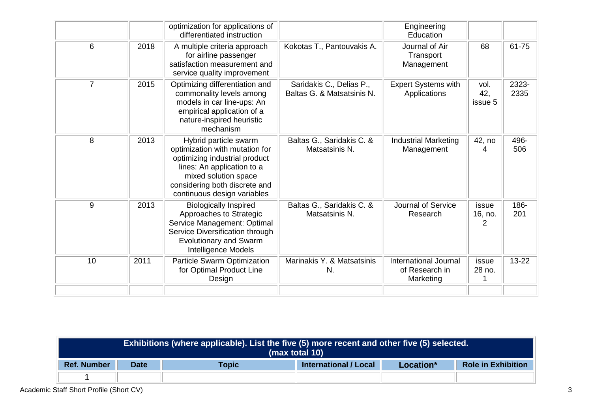|                |      | optimization for applications of<br>differentiated instruction                                                                                                                                                 |                                                        | Engineering<br>Education                                    |                        |               |
|----------------|------|----------------------------------------------------------------------------------------------------------------------------------------------------------------------------------------------------------------|--------------------------------------------------------|-------------------------------------------------------------|------------------------|---------------|
| 6              | 2018 | A multiple criteria approach<br>for airline passenger<br>satisfaction measurement and<br>service quality improvement                                                                                           | Kokotas T., Pantouvakis A.                             | Journal of Air<br>Transport<br>Management                   | 68                     | 61-75         |
| $\overline{7}$ | 2015 | Optimizing differentiation and<br>commonality levels among<br>models in car line-ups: An<br>empirical application of a<br>nature-inspired heuristic<br>mechanism                                               | Saridakis C., Delias P.,<br>Baltas G. & Matsatsinis N. | <b>Expert Systems with</b><br>Applications                  | vol.<br>42,<br>issue 5 | 2323-<br>2335 |
| 8              | 2013 | Hybrid particle swarm<br>optimization with mutation for<br>optimizing industrial product<br>lines: An application to a<br>mixed solution space<br>considering both discrete and<br>continuous design variables | Baltas G., Saridakis C. &<br>Matsatsinis N.            | <b>Industrial Marketing</b><br>Management                   | 42, no<br>4            | 496-<br>506   |
| 9              | 2013 | <b>Biologically Inspired</b><br>Approaches to Strategic<br>Service Management: Optimal<br>Service Diversification through<br><b>Evolutionary and Swarm</b><br>Intelligence Models                              | Baltas G., Saridakis C. &<br>Matsatsinis N.            | <b>Journal of Service</b><br>Research                       | issue<br>16, no.<br>2  | 186-<br>201   |
| 10             | 2011 | Particle Swarm Optimization<br>for Optimal Product Line<br>Design                                                                                                                                              | Marinakis Y. & Matsatsinis<br>N.                       | <b>International Journal</b><br>of Research in<br>Marketing | issue<br>28 no.<br>1   | $13 - 22$     |
|                |      |                                                                                                                                                                                                                |                                                        |                                                             |                        |               |

| Exhibitions (where applicable). List the five (5) more recent and other five (5) selected.<br>(max total 10) |             |       |                              |           |                           |
|--------------------------------------------------------------------------------------------------------------|-------------|-------|------------------------------|-----------|---------------------------|
| <b>Ref. Number</b>                                                                                           | <b>Date</b> | Topic | <b>International / Local</b> | Location* | <b>Role in Exhibition</b> |
|                                                                                                              |             |       |                              |           |                           |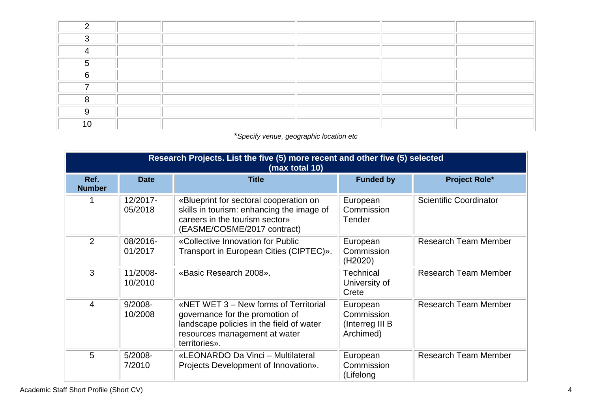| C.  |  |  |  |
|-----|--|--|--|
|     |  |  |  |
|     |  |  |  |
| ~   |  |  |  |
|     |  |  |  |
|     |  |  |  |
|     |  |  |  |
| 1 N |  |  |  |

## \**Specify venue, geographic location etc*

| Research Projects. List the five (5) more recent and other five (5) selected<br>(max total 10) |                       |                                                                                                                                                                        |                                                        |                               |  |  |
|------------------------------------------------------------------------------------------------|-----------------------|------------------------------------------------------------------------------------------------------------------------------------------------------------------------|--------------------------------------------------------|-------------------------------|--|--|
| Ref.<br><b>Number</b>                                                                          | <b>Date</b>           | <b>Title</b>                                                                                                                                                           | <b>Funded by</b>                                       | <b>Project Role*</b>          |  |  |
| 1                                                                                              | 12/2017-<br>05/2018   | «Blueprint for sectoral cooperation on<br>skills in tourism: enhancing the image of<br>careers in the tourism sector»<br>(EASME/COSME/2017 contract)                   | European<br>Commission<br>Tender                       | <b>Scientific Coordinator</b> |  |  |
| 2                                                                                              | 08/2016-<br>01/2017   | «Collective Innovation for Public<br>Transport in European Cities (CIPTEC)».                                                                                           | European<br>Commission<br>(H2020)                      | <b>Research Team Member</b>   |  |  |
| 3                                                                                              | 11/2008-<br>10/2010   | «Basic Research 2008».                                                                                                                                                 | <b>Technical</b><br>University of<br>Crete             | <b>Research Team Member</b>   |  |  |
| 4                                                                                              | $9/2008 -$<br>10/2008 | «NET WET 3 – New forms of Territorial<br>governance for the promotion of<br>landscape policies in the field of water<br>resources management at water<br>territories». | European<br>Commission<br>(Interreg III B<br>Archimed) | <b>Research Team Member</b>   |  |  |
| 5                                                                                              | $5/2008 -$<br>7/2010  | «LEONARDO Da Vinci - Multilateral<br>Projects Development of Innovation».                                                                                              | European<br>Commission<br>(Lifelong                    | <b>Research Team Member</b>   |  |  |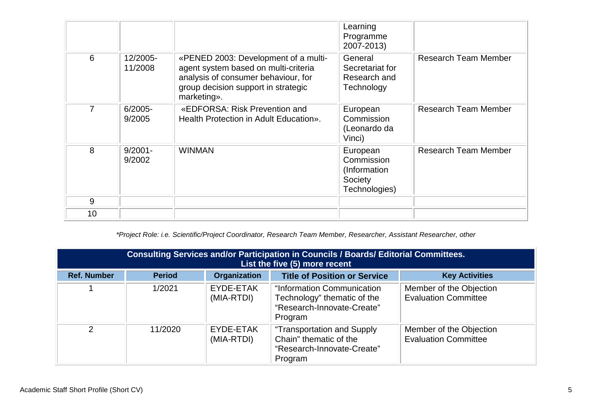|    |                      |                                                                                                                                                                           | Learning<br>Programme<br>2007-2013)                                 |                             |
|----|----------------------|---------------------------------------------------------------------------------------------------------------------------------------------------------------------------|---------------------------------------------------------------------|-----------------------------|
| 6  | 12/2005-<br>11/2008  | «PENED 2003: Development of a multi-<br>agent system based on multi-criteria<br>analysis of consumer behaviour, for<br>group decision support in strategic<br>marketing». | General<br>Secretariat for<br>Research and<br>Technology            | <b>Research Team Member</b> |
| 7  | $6/2005 -$<br>9/2005 | «EDFORSA: Risk Prevention and<br>Health Protection in Adult Education».                                                                                                   | European<br>Commission<br>(Leonardo da<br>Vinci)                    | Research Team Member        |
| 8  | $9/2001 -$<br>9/2002 | <b>WINMAN</b>                                                                                                                                                             | European<br>Commission<br>(Information)<br>Society<br>Technologies) | <b>Research Team Member</b> |
| 9  |                      |                                                                                                                                                                           |                                                                     |                             |
| 10 |                      |                                                                                                                                                                           |                                                                     |                             |

*\*Project Role: i.e. Scientific/Project Coordinator, Research Team Member, Researcher, Assistant Researcher, other*

| Consulting Services and/or Participation in Councils / Boards/ Editorial Committees.<br>List the five (5) more recent |               |                         |                                                                                                    |                                                        |
|-----------------------------------------------------------------------------------------------------------------------|---------------|-------------------------|----------------------------------------------------------------------------------------------------|--------------------------------------------------------|
| <b>Ref. Number</b>                                                                                                    | <b>Period</b> | <b>Organization</b>     | <b>Title of Position or Service</b>                                                                | <b>Key Activities</b>                                  |
|                                                                                                                       | 1/2021        | EYDE-ETAK<br>(MIA-RTDI) | "Information Communication<br>Technology" thematic of the<br>"Research-Innovate-Create"<br>Program | Member of the Objection<br><b>Evaluation Committee</b> |
| $\mathcal{P}$                                                                                                         | 11/2020       | EYDE-ETAK<br>(MIA-RTDI) | "Transportation and Supply<br>Chain" thematic of the<br>"Research-Innovate-Create"<br>Program      | Member of the Objection<br><b>Evaluation Committee</b> |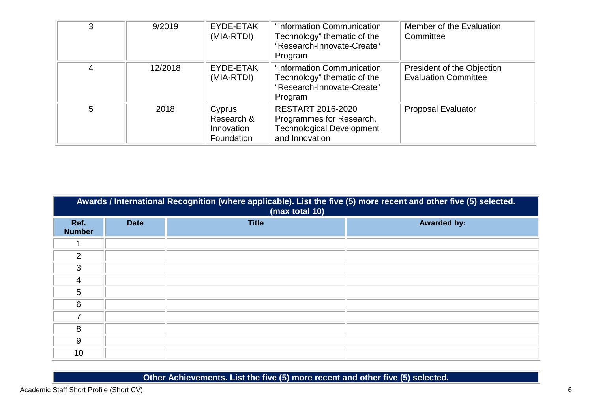| 3 | 9/2019  | EYDE-ETAK<br>(MIA-RTDI)                          | "Information Communication<br>Technology" thematic of the<br>"Research-Innovate-Create"<br>Program         | Member of the Evaluation<br>Committee                     |
|---|---------|--------------------------------------------------|------------------------------------------------------------------------------------------------------------|-----------------------------------------------------------|
| 4 | 12/2018 | EYDE-ETAK<br>(MIA-RTDI)                          | "Information Communication<br>Technology" thematic of the<br>"Research-Innovate-Create"<br>Program         | President of the Objection<br><b>Evaluation Committee</b> |
| 5 | 2018    | Cyprus<br>Research &<br>Innovation<br>Foundation | <b>RESTART 2016-2020</b><br>Programmes for Research,<br><b>Technological Development</b><br>and Innovation | <b>Proposal Evaluator</b>                                 |

| Awards / International Recognition (where applicable). List the five (5) more recent and other five (5) selected.<br>(max total 10) |             |              |                    |  |  |
|-------------------------------------------------------------------------------------------------------------------------------------|-------------|--------------|--------------------|--|--|
| Ref.<br><b>Number</b>                                                                                                               | <b>Date</b> | <b>Title</b> | <b>Awarded by:</b> |  |  |
|                                                                                                                                     |             |              |                    |  |  |
| $\overline{2}$                                                                                                                      |             |              |                    |  |  |
| 3                                                                                                                                   |             |              |                    |  |  |
| 4                                                                                                                                   |             |              |                    |  |  |
| 5                                                                                                                                   |             |              |                    |  |  |
| 6                                                                                                                                   |             |              |                    |  |  |
| 7                                                                                                                                   |             |              |                    |  |  |
| 8                                                                                                                                   |             |              |                    |  |  |
| 9                                                                                                                                   |             |              |                    |  |  |
| 10                                                                                                                                  |             |              |                    |  |  |

**Other Achievements. List the five (5) more recent and other five (5) selected.**